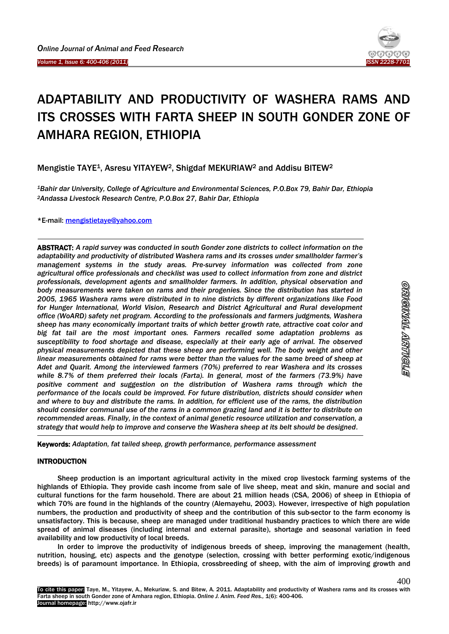Ī

-



# ADAPTABILITY AND PRODUCTIVITY OF WASHERA RAMS AND ITS CROSSES WITH FARTA SHEEP IN SOUTH GONDER ZONE OF AMHARA REGION, ETHIOPIA

Mengistie TAYE1, Asresu YITAYEW2, Shigdaf MEKURIAW<sup>2</sup> and Addisu BITEW<sup>2</sup>

*<sup>1</sup>Bahir dar University, College of Agriculture and Environmental Sciences, P.O.Box 79, Bahir Dar, Ethiopia <sup>2</sup>Andassa Livestock Research Centre, P.O.Box 27, Bahir Dar, Ethiopia*

\*E-mail: [mengistietaye@yahoo.com](mailto:mengistietaye@yahoo.com)

ABSTRACT: *A rapid survey was conducted in south Gonder zone districts to collect information on the adaptability and productivity of distributed Washera rams and its crosses under smallholder farmer's management systems in the study areas. Pre-survey information was collected from zone agricultural office professionals and checklist was used to collect information from zone and district professionals, development agents and smallholder farmers. In addition, physical observation and body measurements were taken on rams and their progenies. Since the distribution has started in 2005, 1965 Washera rams were distributed in to nine districts by different organizations like Food for Hunger International, World Vision, Research and District Agricultural and Rural development office (WoARD) safety net program. According to the professionals and farmers judgments, Washera sheep has many economically important traits of which better growth rate, attractive coat color and big fat tail are the most important ones. Farmers recalled some adaptation problems as susceptibility to food shortage and disease, especially at their early age of arrival. The observed physical measurements depicted that these sheep are performing well. The body weight and other linear measurements obtained for rams were better than the values for the same breed of sheep at Adet and Quarit. Among the interviewed farmers (70%) preferred to rear Washera and its crosses while 8.7% of them preferred their locals (Farta). In general, most of the farmers (73.9%) have*  positive comment and suggestion on the distribution of Washera rams through which the *performance of the locals could be improved. For future distribution, districts should consider when and where to buy and distribute the rams. In addition, for efficient use of the rams, the distribution should consider communal use of the rams in a common grazing land and it is better to distribute on recommended areas. Finally, in the context of animal genetic resource utilization and conservation, a strategy that would help to improve and conserve the Washera sheep at its belt should be designed.* -

Keywords: *Adaptation, fat tailed sheep, growth performance, performance assessment*

# INTRODUCTION

Sheep production is an important agricultural activity in the mixed crop livestock farming systems of the highlands of Ethiopia. They provide cash income from sale of live sheep, meat and skin, manure and social and cultural functions for the farm household. There are about 21 million heads (CSA, 2006) of sheep in Ethiopia of which 70% are found in the highlands of the country (Alemayehu, 2003). However, irrespective of high population numbers, the production and productivity of sheep and the contribution of this sub-sector to the farm economy is unsatisfactory. This is because, sheep are managed under traditional husbandry practices to which there are wide spread of animal diseases (including internal and external parasite), shortage and seasonal variation in feed availability and low productivity of local breeds.

In order to improve the productivity of indigenous breeds of sheep, improving the management (health, nutrition, housing, etc) aspects and the genotype (selection, crossing with better performing exotic/indigenous breeds) is of paramount importance. In Ethiopia, crossbreeding of sheep, with the aim of improving growth and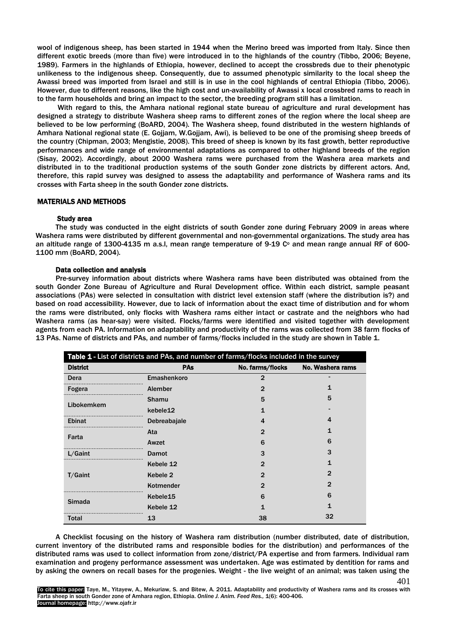wool of indigenous sheep, has been started in 1944 when the Merino breed was imported from Italy. Since then different exotic breeds (more than five) were introduced in to the highlands of the country (Tibbo, 2006; Beyene, 1989). Farmers in the highlands of Ethiopia, however, declined to accept the crossbreds due to their phenotypic unlikeness to the indigenous sheep. Consequently, due to assumed phenotypic similarity to the local sheep the Awassi breed was imported from Israel and still is in use in the cool highlands of central Ethiopia (Tibbo, 2006). However, due to different reasons, like the high cost and un-availability of Awassi x local crossbred rams to reach in to the farm households and bring an impact to the sector, the breeding program still has a limitation.

With regard to this, the Amhara national regional state bureau of agriculture and rural development has designed a strategy to distribute Washera sheep rams to different zones of the region where the local sheep are believed to be low performing (BoARD, 2004). The Washera sheep, found distributed in the western highlands of Amhara National regional state (E. Gojjam, W.Gojjam, Awi), is believed to be one of the promising sheep breeds of the country (Chipman, 2003; Mengistie, 2008). This breed of sheep is known by its fast growth, better reproductive performances and wide range of environmental adaptations as compared to other highland breeds of the region (Sisay, 2002). Accordingly, about 2000 Washera rams were purchased from the Washera area markets and distributed in to the traditional production systems of the south Gonder zone districts by different actors. And, therefore, this rapid survey was designed to assess the adaptability and performance of Washera rams and its crosses with Farta sheep in the south Gonder zone districts.

# MATERIALS AND METHODS

## Study area

The study was conducted in the eight districts of south Gonder zone during February 2009 in areas where Washera rams were distributed by different governmental and non-governmental organizations. The study area has an altitude range of 1300-4135 m a.s.l, mean range temperature of 9-19  $C<sup>o</sup>$  and mean range annual RF of 600-1100 mm (BoARD, 2004).

## Data collection and analysis

Pre-survey information about districts where Washera rams have been distributed was obtained from the south Gonder Zone Bureau of Agriculture and Rural Development office. Within each district, sample peasant associations (PAs) were selected in consultation with district level extension staff (where the distribution is?) and based on road accessibility. However, due to lack of information about the exact time of distribution and for whom the rams were distributed, only flocks with Washera rams either intact or castrate and the neighbors who had Washera rams (as hear-say) were visited. Flocks/farms were identified and visited together with development agents from each PA. Information on adaptability and productivity of the rams was collected from 38 farm flocks of 13 PAs. Name of districts and PAs, and number of farms/flocks included in the study are shown in Table 1.

| Table 1 - List of districts and PAs, and number of farms/flocks included in the survey |                      |                  |                  |  |  |  |
|----------------------------------------------------------------------------------------|----------------------|------------------|------------------|--|--|--|
| <b>District</b>                                                                        | <b>PAs</b>           | No. farms/flocks | No. Washera rams |  |  |  |
| Dera                                                                                   | Emashenkoro          | $\mathbf{2}$     |                  |  |  |  |
| Fogera                                                                                 | Alember              | 2                |                  |  |  |  |
|                                                                                        | Shamu                | 5                | 5                |  |  |  |
| Libokemkem                                                                             | kebele12             |                  |                  |  |  |  |
| <b>Ebinat</b>                                                                          | Debreabajale         | 4                | 4                |  |  |  |
|                                                                                        | Ata                  | 2                |                  |  |  |  |
| Farta                                                                                  | Awzet                | 6                | 6                |  |  |  |
| L/Gaint                                                                                | Damot                | 3                | 3                |  |  |  |
|                                                                                        | Kebele 12            | 2                |                  |  |  |  |
| T/Gaint                                                                                | Kebele 2             | 2                | $\overline{2}$   |  |  |  |
|                                                                                        | Kotmender            | 2                | 2                |  |  |  |
| Simada                                                                                 | Kebele <sub>15</sub> | 6                | 6                |  |  |  |
|                                                                                        | Kebele 12            |                  |                  |  |  |  |
| Total                                                                                  | 13                   | 38               | 32               |  |  |  |

A Checklist focusing on the history of Washera ram distribution (number distributed, date of distribution, current inventory of the distributed rams and responsible bodies for the distribution) and performances of the distributed rams was used to collect information from zone/district/PA expertise and from farmers. Individual ram examination and progeny performance assessment was undertaken. Age was estimated by dentition for rams and by asking the owners on recall bases for the progenies. Weight - the live weight of an animal; was taken using the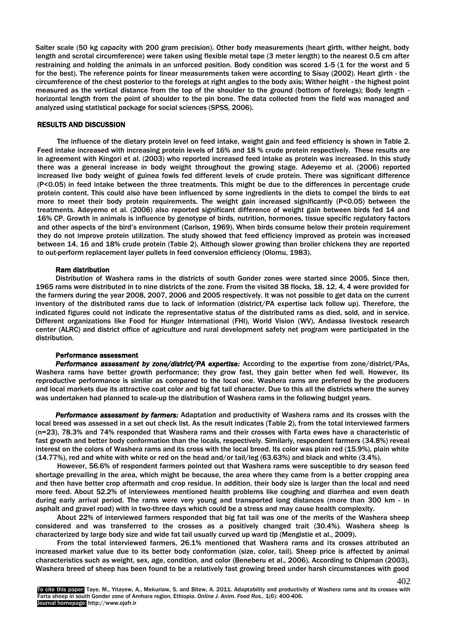Salter scale (50 kg capacity with 200 gram precision). Other body measurements (heart girth, wither height, body length and scrotal circumference) were taken using flexible metal tape (3 meter length) to the nearest 0.5 cm after restraining and holding the animals in an unforced position. Body condition was scored 1-5 (1 for the worst and 5 for the best). The reference points for linear measurements taken were according to Sisay (2002). Heart girth - the circumference of the chest posterior to the forelegs at right angles to the body axis; Wither height - the highest point measured as the vertical distance from the top of the shoulder to the ground (bottom of forelegs); Body length horizontal length from the point of shoulder to the pin bone. The data collected from the field was managed and analyzed using statistical package for social sciences (SPSS, 2006).

## RESULTS AND DISCUSSION

The influence of the dietary protein level on feed intake, weight gain and feed efficiency is shown in Table 2. Feed intake increased with increasing protein levels of 16% and 18 % crude protein respectively. These results are in agreement with Kingori et al. (2003) who reported increased feed intake as protein was increased. In this study there was a general increase in body weight throughout the growing stage. Adeyemo et al. (2006) reported increased live body weight of guinea fowls fed different levels of crude protein. There was significant difference (P<0.05) in feed intake between the three treatments. This might be due to the differences in percentage crude protein content. This could also have been influenced by some ingredients in the diets to compel the birds to eat more to meet their body protein requirements. The weight gain increased significantly (P<0.05) between the treatments. Adeyemo et al. (2006) also reported significant difference of weight gain between birds fed 14 and 16% CP. Growth in animals is influence by genotype of birds, nutrition, hormones, tissue specific regulatory factors and other aspects of the bird's environment (Carlson, 1969). When birds consume below their protein requirement they do not improve protein utilization. The study showed that feed efficiency improved as protein was increased between 14, 16 and 18% crude protein (Table 2). Although slower growing than broiler chickens they are reported to out-perform replacement layer pullets in feed conversion efficiency (Olomu, 1983).

# Ram distribution

Distribution of Washera rams in the districts of south Gonder zones were started since 2005. Since then, 1965 rams were distributed in to nine districts of the zone. From the visited 38 flocks, 18, 12, 4, 4 were provided for the farmers during the year 2008, 2007, 2006 and 2005 respectively. It was not possible to get data on the current inventory of the distributed rams due to lack of information (district/PA expertise lack follow up). Therefore, the indicated figures could not indicate the representative status of the distributed rams as died, sold, and in service. Different organizations like Food for Hunger International (FHI), World Vision (WV), Andassa livestock research center (ALRC) and district office of agriculture and rural development safety net program were participated in the distribution.

#### Performance assessment

*Performance assessment by zone/district/PA expertise:* According to the expertise from zone/district/PAs, Washera rams have better growth performance; they grow fast, they gain better when fed well. However, its reproductive performance is similar as compared to the local one. Washera rams are preferred by the producers and local markets due its attractive coat color and big fat tail character. Due to this all the districts where the survey was undertaken had planned to scale-up the distribution of Washera rams in the following budget years.

*Performance assessment by farmers:* Adaptation and productivity of Washera rams and its crosses with the local breed was assessed in a set out check list. As the result indicates (Table 2), from the total interviewed farmers (n=23), 78.3% and 74% responded that Washera rams and their crosses with Farta ewes have a characteristic of fast growth and better body conformation than the locals, respectively. Similarly, respondent farmers (34.8%) reveal interest on the colors of Washera rams and its cross with the local breed. Its color was plain red (15.9%), plain white (14.77%), red and white with white or red on the head and/or tail/leg (63.63%) and black and white (3.4%).

However, 56.6% of respondent farmers pointed out that Washera rams were susceptible to dry season feed shortage prevailing in the area, which might be because, the area where they came from is a better cropping area and then have better crop aftermath and crop residue. In addition, their body size is larger than the local and need more feed. About 52.2% of interviewees mentioned health problems like coughing and diarrhea and even death during early arrival period. The rams were very young and transported long distances (more than 300 km - in asphalt and gravel road) with in two-three days which could be a stress and may cause health complexity.

About 22% of interviewed farmers responded that big fat tail was one of the merits of the Washera sheep considered and was transferred to the crosses as a positively changed trait (30.4%). Washera sheep is characterized by large body size and wide fat tail usually curved up ward tip (Mengistie et al., 2009).

From the total interviewed farmers, 26.1% mentioned that Washera rams and its crosses attributed an increased market value due to its better body conformation (size, color, tail). Sheep price is affected by animal characteristics such as weight, sex, age, condition, and color (Beneberu et al., 2006). According to Chipman (2003), Washera breed of sheep has been found to be a relatively fast growing breed under harsh circumstances with good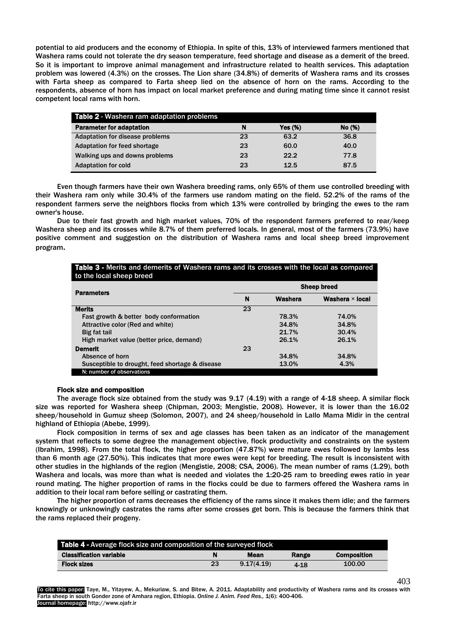potential to aid producers and the economy of Ethiopia. In spite of this, 13% of interviewed farmers mentioned that Washera rams could not tolerate the dry season temperature, feed shortage and disease as a demerit of the breed. So it is important to improve animal management and infrastructure related to health services. This adaptation problem was lowered (4.3%) on the crosses. The Lion share (34.8%) of demerits of Washera rams and its crosses with Farta sheep as compared to Farta sheep lied on the absence of horn on the rams. According to the respondents, absence of horn has impact on local market preference and during mating time since it cannot resist competent local rams with horn.

| Table 2 - Washera ram adaptation problems |    |            |        |  |  |  |
|-------------------------------------------|----|------------|--------|--|--|--|
| <b>Parameter for adaptation</b>           | N  | Yes $(\%)$ | No (%) |  |  |  |
| Adaptation for disease problems           | 23 | 63.2       | 36.8   |  |  |  |
| Adaptation for feed shortage              | 23 | 60.0       | 40.0   |  |  |  |
| Walking ups and downs problems            | 23 | 22.2       | 77.8   |  |  |  |
| <b>Adaptation for cold</b>                | 23 | 12.5       | 87.5   |  |  |  |

Even though farmers have their own Washera breeding rams, only 65% of them use controlled breeding with their Washera ram only while 30.4% of the farmers use random mating on the field. 52.2% of the rams of the respondent farmers serve the neighbors flocks from which 13% were controlled by bringing the ewes to the ram owner's house.

Due to their fast growth and high market values, 70% of the respondent farmers preferred to rear/keep Washera sheep and its crosses while 8.7% of them preferred locals. In general, most of the farmers (73.9%) have positive comment and suggestion on the distribution of Washera rams and local sheep breed improvement program.

| Table 3 - Merits and demerits of Washera rams and its crosses with the local as compared<br>to the local sheep breed |                                        |       |       |  |  |
|----------------------------------------------------------------------------------------------------------------------|----------------------------------------|-------|-------|--|--|
| <b>Parameters</b>                                                                                                    | <b>Sheep breed</b>                     |       |       |  |  |
|                                                                                                                      | N<br>Washera<br>Washera $\times$ local |       |       |  |  |
| <b>Merits</b>                                                                                                        | 23                                     |       |       |  |  |
| Fast growth & better body conformation                                                                               |                                        | 78.3% | 74.0% |  |  |
| Attractive color (Red and white)                                                                                     |                                        | 34.8% | 34.8% |  |  |
| Big fat tail                                                                                                         |                                        | 21.7% | 30.4% |  |  |
| High market value (better price, demand)                                                                             |                                        | 26.1% | 26.1% |  |  |
| <b>Demerit</b>                                                                                                       | 23                                     |       |       |  |  |
| Absence of horn                                                                                                      |                                        | 34.8% | 34.8% |  |  |
| Susceptible to drought, feed shortage & disease                                                                      |                                        | 13.0% | 4.3%  |  |  |
| N: number of observations                                                                                            |                                        |       |       |  |  |

## Flock size and composition

The average flock size obtained from the study was 9.17 (4.19) with a range of 4-18 sheep. A similar flock size was reported for Washera sheep (Chipman, 2003; Mengistie, 2008). However, it is lower than the 16.02 sheep/household in Gumuz sheep (Solomon, 2007), and 24 sheep/household in Lallo Mama Midir in the central highland of Ethiopia (Abebe, 1999).

Flock composition in terms of sex and age classes has been taken as an indicator of the management system that reflects to some degree the management objective, flock productivity and constraints on the system (Ibrahim, 1998). From the total flock, the higher proportion (47.87%) were mature ewes followed by lambs less than 6 month age (27.50%). This indicates that more ewes were kept for breeding. The result is inconsistent with other studies in the highlands of the region (Mengistie, 2008; CSA, 2006). The mean number of rams (1.29), both Washera and locals, was more than what is needed and violates the 1:20-25 ram to breeding ewes ratio in year round mating. The higher proportion of rams in the flocks could be due to farmers offered the Washera rams in addition to their local ram before selling or castrating them.

The higher proportion of rams decreases the efficiency of the rams since it makes them idle; and the farmers knowingly or unknowingly castrates the rams after some crosses get born. This is because the farmers think that the rams replaced their progeny.

| <b>Table 4 - Average flock size and composition of the surveyed flock</b> |    |            |       |                    |  |  |
|---------------------------------------------------------------------------|----|------------|-------|--------------------|--|--|
| <b>Classification variable</b>                                            |    | Mean       | Range | <b>Composition</b> |  |  |
| <b>Flock sizes</b>                                                        | 23 | 9.17(4.19) | 4-18  | 100.00             |  |  |

To cite this paper: Taye, M., Yitayew, A., Mekuriaw, S. and Bitew, A. 2011. Adaptability and productivity of Washera rams and its crosses with Farta sheep in south Gonder zone of Amhara region, Ethiopia. *Online J. Anim. Feed Res.,* 1(6): 400-406. Journal homepage: http://www.ojafr.ir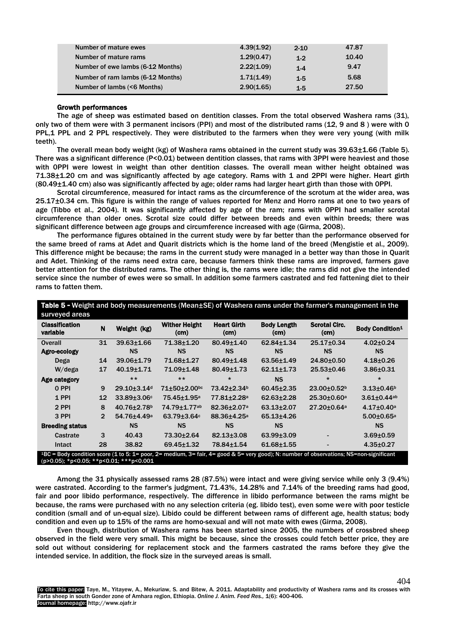| Number of mature ewes             | 4.39(1.92) | $2 - 10$ | 47.87 |
|-----------------------------------|------------|----------|-------|
| Number of mature rams             | 1.29(0.47) | $1-2$    | 10.40 |
| Number of ewe lambs (6-12 Months) | 2.22(1.09) | $1-4$    | 9.47  |
| Number of ram lambs (6-12 Months) | 1.71(1.49) | $1-5$    | 5.68  |
| Number of lambs (<6 Months)       | 2.90(1.65) | $1-5$    | 27.50 |

## Growth performances

The age of sheep was estimated based on dentition classes. From the total observed Washera rams (31), only two of them were with 3 permanent incisors (PPI) and most of the distributed rams (12, 9 and 8 ) were with 0 PPL,1 PPL and 2 PPL respectively. They were distributed to the farmers when they were very young (with milk teeth).

The overall mean body weight (kg) of Washera rams obtained in the current study was 39.63±1.66 (Table 5). There was a significant difference (P<0.01) between dentition classes, that rams with 3PPI were heaviest and those with 0PPI were lowest in weight than other dentition classes. The overall mean wither height obtained was 71.38±1.20 cm and was significantly affected by age category. Rams with 1 and 2PPI were higher. Heart girth (80.49±1.40 cm) also was significantly affected by age; older rams had larger heart girth than those with 0PPI.

Scrotal circumference, measured for intact rams as the circumference of the scrotum at the wider area, was 25.17±0.34 cm. This figure is within the range of values reported for Menz and Horro rams at one to two years of age (Tibbo et al., 2004). It was significantly affected by age of the ram; rams with 0PPI had smaller scrotal circumference than older ones. Scrotal size could differ between breeds and even within breeds; there was significant difference between age groups and circumference increased with age (Girma, 2008).

The performance figures obtained in the current study were by far better than the performance observed for the same breed of rams at Adet and Quarit districts which is the home land of the breed (Mengistie et al., 2009). This difference might be because; the rams in the current study were managed in a better way than those in Quarit and Adet. Thinking of the rams need extra care, because farmers think these rams are improved, farmers gave better attention for the distributed rams. The other thing is, the rams were idle; the rams did not give the intended service since the number of ewes were so small. In addition some farmers castrated and fed fattening diet to their rams to fatten them.

| <b>Classification</b><br>variable | N              | Weight (kg)                   | <b>Wither Height</b><br>(cm) | <b>Heart Girth</b><br>(cm) | <b>Body Length</b><br>(cm) | <b>Scrotal Circ.</b><br>(cm) | <b>Body Condition1</b>       |
|-----------------------------------|----------------|-------------------------------|------------------------------|----------------------------|----------------------------|------------------------------|------------------------------|
| Overall                           | 31             | $39.63 \pm 1.66$              | 71.38±1.20                   | $80.49 \pm 1.40$           | $62.84 \pm 1.34$           | $25.17 \pm 0.34$             | $4.02 \pm 0.24$              |
| Agro-ecology                      |                | <b>NS</b>                     | <b>NS</b>                    | <b>NS</b>                  | <b>NS</b>                  | <b>NS</b>                    | <b>NS</b>                    |
| Dega                              | 14             | 39.06±1.79                    | 71.68±1.27                   | $80.49 \pm 1.48$           | $63.56 \pm 1.49$           | 24.80±0.50                   | $4.18 + 0.26$                |
| $W$ /dega                         | 17             | $40.19 \pm 1.71$              | 71.09±1.48                   | $80.49 \pm 1.73$           | $62.11 \pm 1.73$           | $25.53 \pm 0.46$             | $3.86 + 0.31$                |
| Age category                      |                | $***$                         | $***$                        | $\star$                    | <b>NS</b>                  | $\star$                      | $\star$                      |
| 0 PPI                             | 9              | 29.10+3.14 <sup>d</sup>       | 71±50±2.00bc                 | 73.42+2.34 <sup>b</sup>    | $60.45 \pm 2.35$           | $23.00+0.52b$                | $3.13{\pm}0.46^{\rm b}$      |
| 1 PPI                             | 12             | 33.89±3.06c                   | 75.45±1.95 <sup>a</sup>      | 77.81±2.28 <sup>a</sup>    | $62.63 \pm 2.28$           | 25.30±0.60 <sup>a</sup>      | $3.61 \pm 0.44$ ab           |
| 2 PPI                             | 8              | $40.76 \pm 2.78$ <sup>b</sup> | 74.79±1.77ab                 | 82.36±2.07 <sup>a</sup>    | $63.13 \pm 2.07$           | 27.20±0.64 <sup>a</sup>      | $4.17 \pm 0.40^a$            |
| 3 PPI                             | $\overline{2}$ | 54.76±4.49 <sup>a</sup>       | 63.79±3.64c                  | 88.36±4.25 <sup>a</sup>    | $65.13 + 4.26$             |                              | $5.00 \pm 0.65$ <sup>a</sup> |
| <b>Breeding status</b>            |                | <b>NS</b>                     | <b>NS</b>                    | <b>NS</b>                  | <b>NS</b>                  |                              | <b>NS</b>                    |
| Castrate                          | 3              | 40.43                         | 73.30±2.64                   | 82.13±3.08                 | $63.99 \pm 3.09$           |                              | $3.69 + 0.59$                |
| Intact                            | 28             | 38.82                         | $69.45 \pm 1.32$             | 78.84±1.54                 | $61.68 + 1.55$             |                              | $4.35 \pm 0.27$              |

Among the 31 physically assessed rams 28 (87.5%) were intact and were giving service while only 3 (9.4%) were castrated. According to the farmer's judgment, 71.43%, 14.28% and 7.14% of the breeding rams had good, fair and poor libido performance, respectively. The difference in libido performance between the rams might be because, the rams were purchased with no any selection criteria (eg. libido test), even some were with poor testicle condition (small and of un-equal size). Libido could be different between rams of different age, health status; body condition and even up to 15% of the rams are homo-sexual and will not mate with ewes (Girma, 2008).

Even though, distribution of Washera rams has been started since 2005, the numbers of crossbred sheep observed in the field were very small. This might be because, since the crosses could fetch better price, they are sold out without considering for replacement stock and the farmers castrated the rams before they give the intended service. In addition, the flock size in the surveyed areas is small.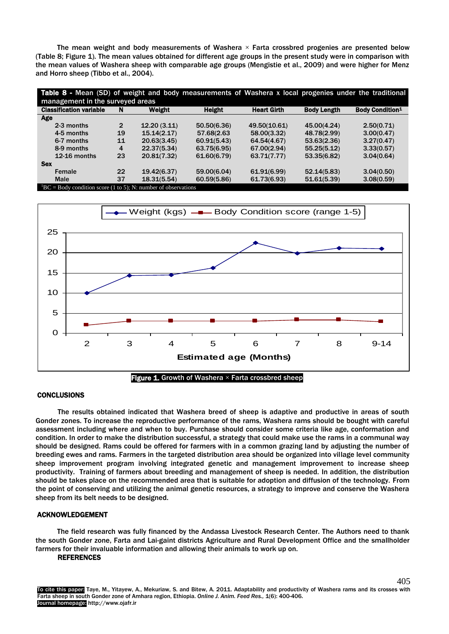The mean weight and body measurements of Washera  $\times$  Farta crossbred progenies are presented below (Table 8; Figure 1). The mean values obtained for different age groups in the present study were in comparison with the mean values of Washera sheep with comparable age groups (Mengistie et al., 2009) and were higher for Menz and Horro sheep (Tibbo et al., 2004).

| <b>Table 8 -</b> Mean (SD) of weight and body measurements of Washera x local progenies under the traditional<br>management in the surveyed areas |                |             |               |                    |                    |                        |
|---------------------------------------------------------------------------------------------------------------------------------------------------|----------------|-------------|---------------|--------------------|--------------------|------------------------|
| <b>Classification variable</b>                                                                                                                    | N              | Weight      | <b>Height</b> | <b>Heart Girth</b> | <b>Body Length</b> | <b>Body Condition1</b> |
| Age                                                                                                                                               |                |             |               |                    |                    |                        |
| 2-3 months                                                                                                                                        | $\overline{2}$ | 12.20(3.11) | 50.50(6.36)   | 49.50(10.61)       | 45.00(4.24)        | 2.50(0.71)             |
| 4-5 months                                                                                                                                        | 19             | 15.14(2.17) | 57.68(2.63    | 58.00(3.32)        | 48.78(2.99)        | 3.00(0.47)             |
| 6-7 months                                                                                                                                        | 11             | 20.63(3.45) | 60.91(5.43)   | 64.54(4.67)        | 53.63(2.36)        | 3.27(0.47)             |
| 8-9 months                                                                                                                                        | 4              | 22.37(5.34) | 63.75(6.95)   | 67.00(2.94)        | 55.25(5.12)        | 3.33(0.57)             |
| 12-16 months                                                                                                                                      | 23             | 20.81(7.32) | 61.60(6.79)   | 63.71(7.77)        | 53.35(6.82)        | 3.04(0.64)             |
| <b>Sex</b>                                                                                                                                        |                |             |               |                    |                    |                        |
| Female                                                                                                                                            | 22             | 19.42(6.37) | 59.00(6.04)   | 61.91(6.99)        | 52.14(5.83)        | 3.04(0.50)             |
| <b>Male</b>                                                                                                                                       | 37             | 18.31(5.54) | 60.59(5.86)   | 61.73(6.93)        | 51.61(5.39)        | 3.08(0.59)             |
| ${}^{1}BC = Body$ condition score (1 to 5); N: number of observations                                                                             |                |             |               |                    |                    |                        |



**Figure 1.** Growth of Washera  $\times$  Farta crossbred sheep

## **CONCLUSIONS**

The results obtained indicated that Washera breed of sheep is adaptive and productive in areas of south Gonder zones. To increase the reproductive performance of the rams, Washera rams should be bought with careful assessment including where and when to buy. Purchase should consider some criteria like age, conformation and condition. In order to make the distribution successful, a strategy that could make use the rams in a communal way should be designed. Rams could be offered for farmers with in a common grazing land by adjusting the number of breeding ewes and rams. Farmers in the targeted distribution area should be organized into village level community sheep improvement program involving integrated genetic and management improvement to increase sheep productivity. Training of farmers about breeding and management of sheep is needed. In addition, the distribution should be takes place on the recommended area that is suitable for adoption and diffusion of the technology. From the point of conserving and utilizing the animal genetic resources, a strategy to improve and conserve the Washera sheep from its belt needs to be designed.

# ACKNOWLEDGEMENT

The field research was fully financed by the Andassa Livestock Research Center. The Authors need to thank the south Gonder zone, Farta and Lai-gaint districts Agriculture and Rural Development Office and the smallholder farmers for their invaluable information and allowing their animals to work up on.

# REFERENCES